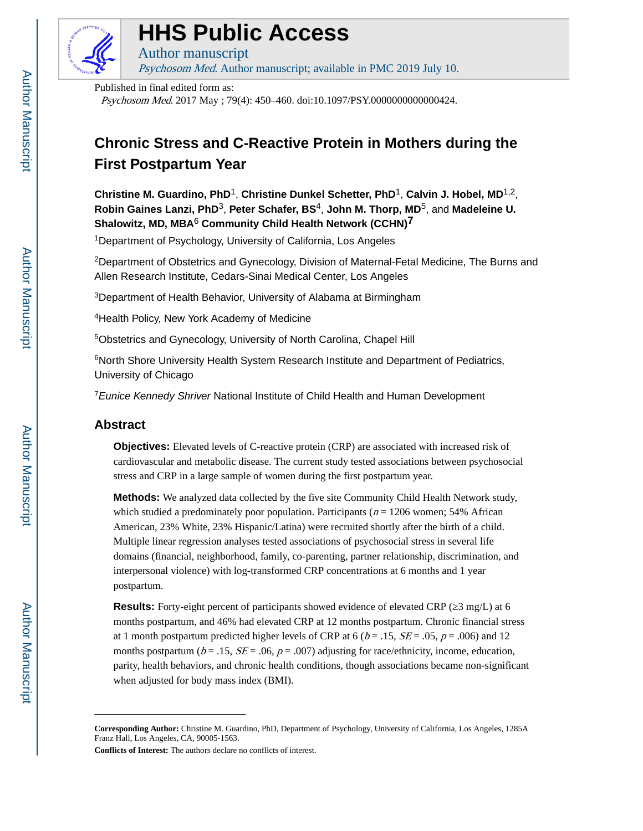

# **HHS Public Access**

Author manuscript Psychosom Med. Author manuscript; available in PMC 2019 July 10.

Published in final edited form as:

Psychosom Med. 2017 May ; 79(4): 450–460. doi:10.1097/PSY.0000000000000424.

## **Chronic Stress and C-Reactive Protein in Mothers during the First Postpartum Year**

**Christine M. Guardino, PhD**1, **Christine Dunkel Schetter, PhD**1, **Calvin J. Hobel, MD**1,2, **Robin Gaines Lanzi, PhD**3, **Peter Schafer, BS**4, **John M. Thorp, MD**5, and **Madeleine U. Shalowitz, MD, MBA**<sup>6</sup> **Community Child Health Network (CCHN)7**

<sup>1</sup>Department of Psychology, University of California, Los Angeles

<sup>2</sup>Department of Obstetrics and Gynecology, Division of Maternal-Fetal Medicine, The Burns and Allen Research Institute, Cedars-Sinai Medical Center, Los Angeles

<sup>3</sup>Department of Health Behavior, University of Alabama at Birmingham

<sup>4</sup>Health Policy, New York Academy of Medicine

<sup>5</sup>Obstetrics and Gynecology, University of North Carolina, Chapel Hill

<sup>6</sup>North Shore University Health System Research Institute and Department of Pediatrics, University of Chicago

<sup>7</sup> Eunice Kennedy Shriver National Institute of Child Health and Human Development

## **Abstract**

**Objectives:** Elevated levels of C-reactive protein (CRP) are associated with increased risk of cardiovascular and metabolic disease. The current study tested associations between psychosocial stress and CRP in a large sample of women during the first postpartum year.

**Methods:** We analyzed data collected by the five site Community Child Health Network study, which studied a predominately poor population. Participants ( $n = 1206$  women; 54% African American, 23% White, 23% Hispanic/Latina) were recruited shortly after the birth of a child. Multiple linear regression analyses tested associations of psychosocial stress in several life domains (financial, neighborhood, family, co-parenting, partner relationship, discrimination, and interpersonal violence) with log-transformed CRP concentrations at 6 months and 1 year postpartum.

**Results:** Forty-eight percent of participants showed evidence of elevated CRP ( $\frac{3 \text{ mg}}{L}$ ) at 6 months postpartum, and 46% had elevated CRP at 12 months postpartum. Chronic financial stress at 1 month postpartum predicted higher levels of CRP at 6 ( $b = .15$ ,  $SE = .05$ ,  $p = .006$ ) and 12 months postpartum ( $b = .15$ ,  $SE = .06$ ,  $p = .007$ ) adjusting for race/ethnicity, income, education, parity, health behaviors, and chronic health conditions, though associations became non-significant when adjusted for body mass index (BMI).

**Conflicts of Interest:** The authors declare no conflicts of interest.

**Corresponding Author:** Christine M. Guardino, PhD, Department of Psychology, University of California, Los Angeles, 1285A Franz Hall, Los Angeles, CA, 90005-1563.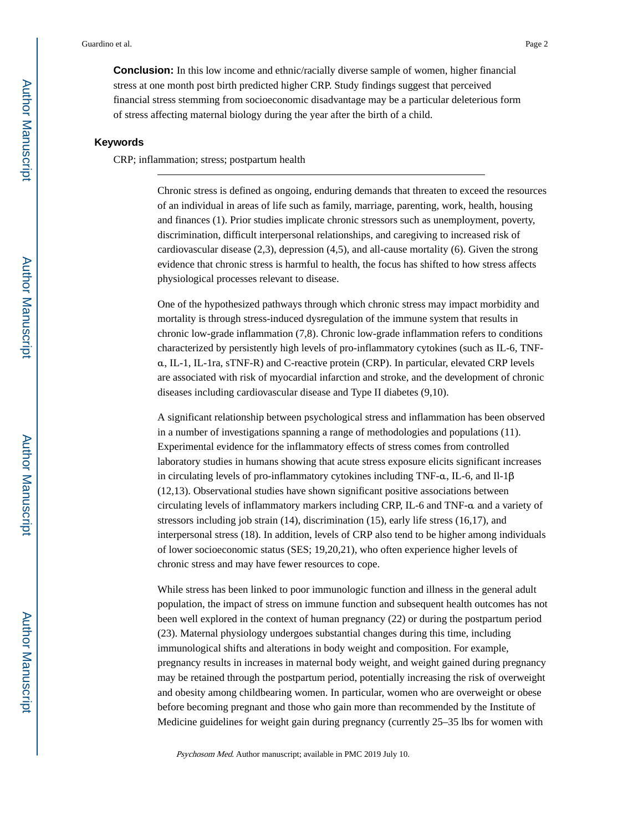**Conclusion:** In this low income and ethnic/racially diverse sample of women, higher financial stress at one month post birth predicted higher CRP. Study findings suggest that perceived financial stress stemming from socioeconomic disadvantage may be a particular deleterious form of stress affecting maternal biology during the year after the birth of a child.

#### **Keywords**

CRP; inflammation; stress; postpartum health

Chronic stress is defined as ongoing, enduring demands that threaten to exceed the resources of an individual in areas of life such as family, marriage, parenting, work, health, housing and finances (1). Prior studies implicate chronic stressors such as unemployment, poverty, discrimination, difficult interpersonal relationships, and caregiving to increased risk of cardiovascular disease (2,3), depression (4,5), and all-cause mortality (6). Given the strong evidence that chronic stress is harmful to health, the focus has shifted to how stress affects physiological processes relevant to disease.

One of the hypothesized pathways through which chronic stress may impact morbidity and mortality is through stress-induced dysregulation of the immune system that results in chronic low-grade inflammation (7,8). Chronic low-grade inflammation refers to conditions characterized by persistently high levels of pro-inflammatory cytokines (such as IL-6, TNFα, IL-1, IL-1ra, sTNF-R) and C-reactive protein (CRP). In particular, elevated CRP levels are associated with risk of myocardial infarction and stroke, and the development of chronic diseases including cardiovascular disease and Type II diabetes (9,10).

A significant relationship between psychological stress and inflammation has been observed in a number of investigations spanning a range of methodologies and populations (11). Experimental evidence for the inflammatory effects of stress comes from controlled laboratory studies in humans showing that acute stress exposure elicits significant increases in circulating levels of pro-inflammatory cytokines including TNF- $\alpha$ , IL-6, and II-1 $\beta$ (12,13). Observational studies have shown significant positive associations between circulating levels of inflammatory markers including CRP, IL-6 and TNF-α and a variety of stressors including job strain (14), discrimination (15), early life stress (16,17), and interpersonal stress (18). In addition, levels of CRP also tend to be higher among individuals of lower socioeconomic status (SES; 19,20,21), who often experience higher levels of chronic stress and may have fewer resources to cope.

While stress has been linked to poor immunologic function and illness in the general adult population, the impact of stress on immune function and subsequent health outcomes has not been well explored in the context of human pregnancy (22) or during the postpartum period (23). Maternal physiology undergoes substantial changes during this time, including immunological shifts and alterations in body weight and composition. For example, pregnancy results in increases in maternal body weight, and weight gained during pregnancy may be retained through the postpartum period, potentially increasing the risk of overweight and obesity among childbearing women. In particular, women who are overweight or obese before becoming pregnant and those who gain more than recommended by the Institute of Medicine guidelines for weight gain during pregnancy (currently 25–35 lbs for women with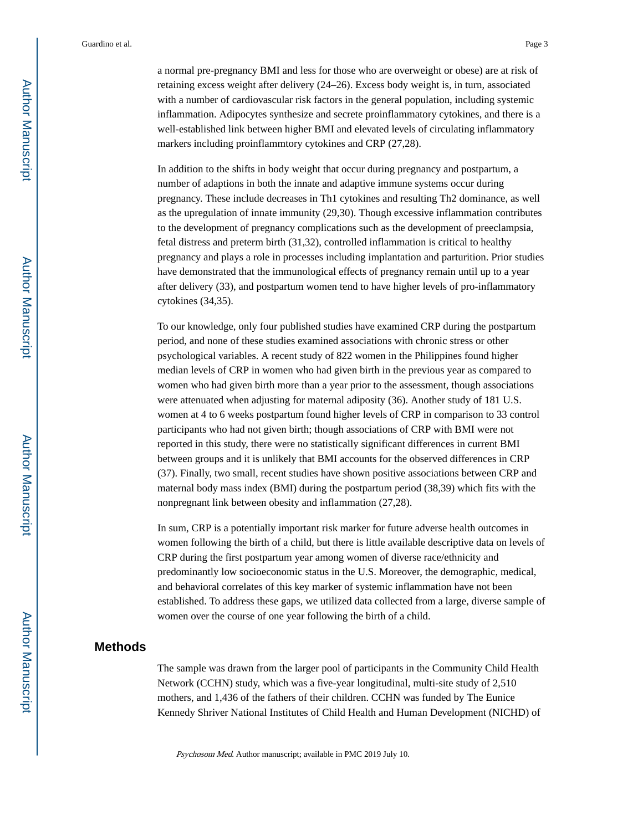a normal pre-pregnancy BMI and less for those who are overweight or obese) are at risk of retaining excess weight after delivery (24–26). Excess body weight is, in turn, associated with a number of cardiovascular risk factors in the general population, including systemic inflammation. Adipocytes synthesize and secrete proinflammatory cytokines, and there is a well-established link between higher BMI and elevated levels of circulating inflammatory markers including proinflammtory cytokines and CRP (27,28).

In addition to the shifts in body weight that occur during pregnancy and postpartum, a number of adaptions in both the innate and adaptive immune systems occur during pregnancy. These include decreases in Th1 cytokines and resulting Th2 dominance, as well as the upregulation of innate immunity (29,30). Though excessive inflammation contributes to the development of pregnancy complications such as the development of preeclampsia, fetal distress and preterm birth (31,32), controlled inflammation is critical to healthy pregnancy and plays a role in processes including implantation and parturition. Prior studies have demonstrated that the immunological effects of pregnancy remain until up to a year after delivery (33), and postpartum women tend to have higher levels of pro-inflammatory cytokines (34,35).

To our knowledge, only four published studies have examined CRP during the postpartum period, and none of these studies examined associations with chronic stress or other psychological variables. A recent study of 822 women in the Philippines found higher median levels of CRP in women who had given birth in the previous year as compared to women who had given birth more than a year prior to the assessment, though associations were attenuated when adjusting for maternal adiposity (36). Another study of 181 U.S. women at 4 to 6 weeks postpartum found higher levels of CRP in comparison to 33 control participants who had not given birth; though associations of CRP with BMI were not reported in this study, there were no statistically significant differences in current BMI between groups and it is unlikely that BMI accounts for the observed differences in CRP (37). Finally, two small, recent studies have shown positive associations between CRP and maternal body mass index (BMI) during the postpartum period (38,39) which fits with the nonpregnant link between obesity and inflammation (27,28).

In sum, CRP is a potentially important risk marker for future adverse health outcomes in women following the birth of a child, but there is little available descriptive data on levels of CRP during the first postpartum year among women of diverse race/ethnicity and predominantly low socioeconomic status in the U.S. Moreover, the demographic, medical, and behavioral correlates of this key marker of systemic inflammation have not been established. To address these gaps, we utilized data collected from a large, diverse sample of women over the course of one year following the birth of a child.

## **Methods**

The sample was drawn from the larger pool of participants in the Community Child Health Network (CCHN) study, which was a five-year longitudinal, multi-site study of 2,510 mothers, and 1,436 of the fathers of their children. CCHN was funded by The Eunice Kennedy Shriver National Institutes of Child Health and Human Development (NICHD) of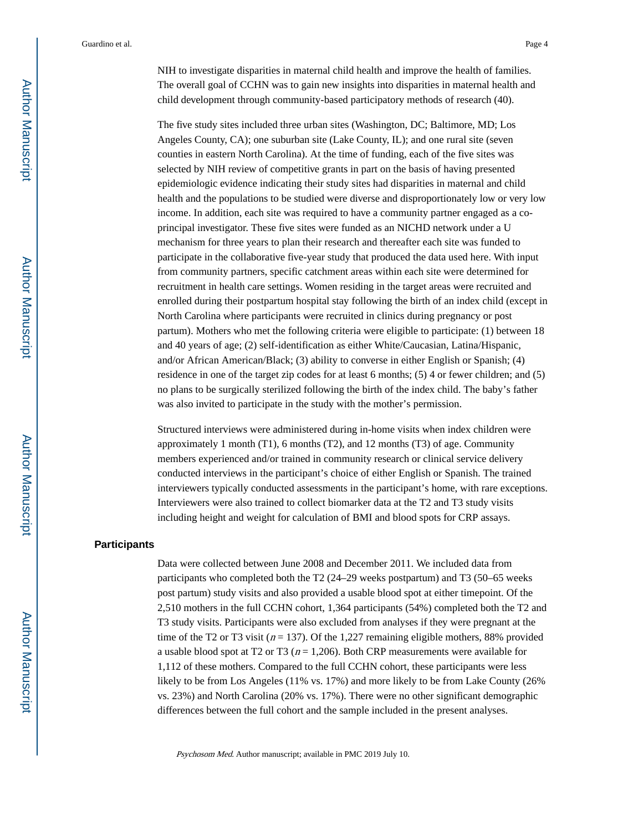NIH to investigate disparities in maternal child health and improve the health of families. The overall goal of CCHN was to gain new insights into disparities in maternal health and child development through community-based participatory methods of research (40).

The five study sites included three urban sites (Washington, DC; Baltimore, MD; Los Angeles County, CA); one suburban site (Lake County, IL); and one rural site (seven counties in eastern North Carolina). At the time of funding, each of the five sites was selected by NIH review of competitive grants in part on the basis of having presented epidemiologic evidence indicating their study sites had disparities in maternal and child health and the populations to be studied were diverse and disproportionately low or very low income. In addition, each site was required to have a community partner engaged as a coprincipal investigator. These five sites were funded as an NICHD network under a U mechanism for three years to plan their research and thereafter each site was funded to participate in the collaborative five-year study that produced the data used here. With input from community partners, specific catchment areas within each site were determined for recruitment in health care settings. Women residing in the target areas were recruited and enrolled during their postpartum hospital stay following the birth of an index child (except in North Carolina where participants were recruited in clinics during pregnancy or post partum). Mothers who met the following criteria were eligible to participate: (1) between 18 and 40 years of age; (2) self-identification as either White/Caucasian, Latina/Hispanic, and/or African American/Black; (3) ability to converse in either English or Spanish; (4) residence in one of the target zip codes for at least 6 months; (5) 4 or fewer children; and (5) no plans to be surgically sterilized following the birth of the index child. The baby's father was also invited to participate in the study with the mother's permission.

Structured interviews were administered during in-home visits when index children were approximately 1 month (T1), 6 months (T2), and 12 months (T3) of age. Community members experienced and/or trained in community research or clinical service delivery conducted interviews in the participant's choice of either English or Spanish. The trained interviewers typically conducted assessments in the participant's home, with rare exceptions. Interviewers were also trained to collect biomarker data at the T2 and T3 study visits including height and weight for calculation of BMI and blood spots for CRP assays.

#### **Participants**

Data were collected between June 2008 and December 2011. We included data from participants who completed both the T2 (24–29 weeks postpartum) and T3 (50–65 weeks post partum) study visits and also provided a usable blood spot at either timepoint. Of the 2,510 mothers in the full CCHN cohort, 1,364 participants (54%) completed both the T2 and T3 study visits. Participants were also excluded from analyses if they were pregnant at the time of the T2 or T3 visit ( $n = 137$ ). Of the 1,227 remaining eligible mothers, 88% provided a usable blood spot at T2 or T3 ( $n = 1,206$ ). Both CRP measurements were available for 1,112 of these mothers. Compared to the full CCHN cohort, these participants were less likely to be from Los Angeles (11% vs. 17%) and more likely to be from Lake County (26%) vs. 23%) and North Carolina (20% vs. 17%). There were no other significant demographic differences between the full cohort and the sample included in the present analyses.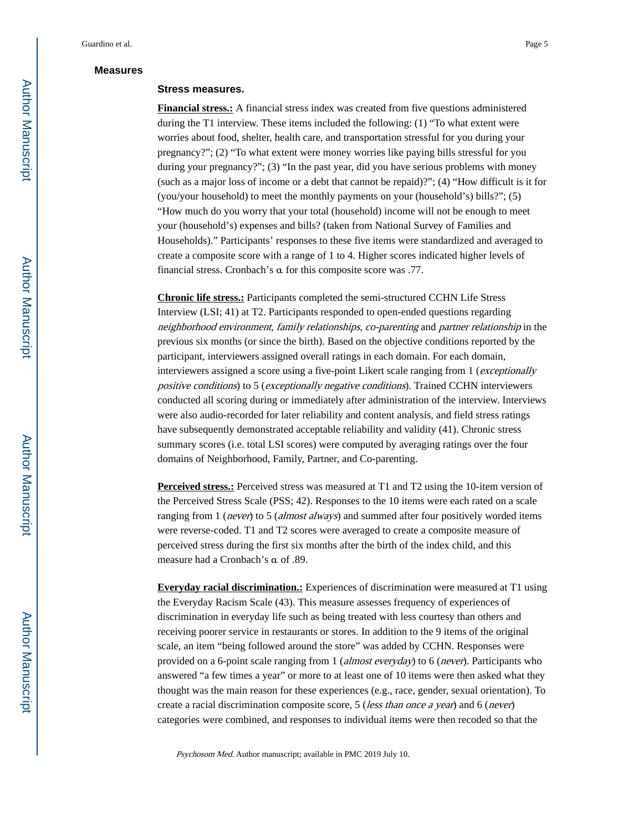## **Measures**

#### **Stress measures.**

**Financial stress.:** A financial stress index was created from five questions administered during the T1 interview. These items included the following: (1) "To what extent were worries about food, shelter, health care, and transportation stressful for you during your pregnancy?"; (2) "To what extent were money worries like paying bills stressful for you during your pregnancy?"; (3) "In the past year, did you have serious problems with money (such as a major loss of income or a debt that cannot be repaid)?"; (4) "How difficult is it for (you/your household) to meet the monthly payments on your (household's) bills?"; (5) "How much do you worry that your total (household) income will not be enough to meet your (household's) expenses and bills? (taken from National Survey of Families and Households)." Participants' responses to these five items were standardized and averaged to create a composite score with a range of 1 to 4. Higher scores indicated higher levels of financial stress. Cronbach's α for this composite score was .77.

**Chronic life stress.:** Participants completed the semi-structured CCHN Life Stress Interview (LSI; 41) at T2. Participants responded to open-ended questions regarding neighborhood environment, family relationships, co-parenting and partner relationship in the previous six months (or since the birth). Based on the objective conditions reported by the participant, interviewers assigned overall ratings in each domain. For each domain, interviewers assigned a score using a five-point Likert scale ranging from 1 (exceptionally positive conditions) to 5 (exceptionally negative conditions). Trained CCHN interviewers conducted all scoring during or immediately after administration of the interview. Interviews were also audio-recorded for later reliability and content analysis, and field stress ratings have subsequently demonstrated acceptable reliability and validity (41). Chronic stress summary scores (i.e. total LSI scores) were computed by averaging ratings over the four domains of Neighborhood, Family, Partner, and Co-parenting.

**Perceived stress.:** Perceived stress was measured at T1 and T2 using the 10-item version of the Perceived Stress Scale (PSS; 42). Responses to the 10 items were each rated on a scale ranging from 1 (*never*) to 5 (*almost always*) and summed after four positively worded items were reverse-coded. T1 and T2 scores were averaged to create a composite measure of perceived stress during the first six months after the birth of the index child, and this measure had a Cronbach's α of .89.

**Everyday racial discrimination.:** Experiences of discrimination were measured at T1 using the Everyday Racism Scale (43). This measure assesses frequency of experiences of discrimination in everyday life such as being treated with less courtesy than others and receiving poorer service in restaurants or stores. In addition to the 9 items of the original scale, an item "being followed around the store" was added by CCHN. Responses were provided on a 6-point scale ranging from 1 (*almost everyday*) to 6 (*never*). Participants who answered "a few times a year" or more to at least one of 10 items were then asked what they thought was the main reason for these experiences (e.g., race, gender, sexual orientation). To create a racial discrimination composite score, 5 (less than once a year) and 6 (never) categories were combined, and responses to individual items were then recoded so that the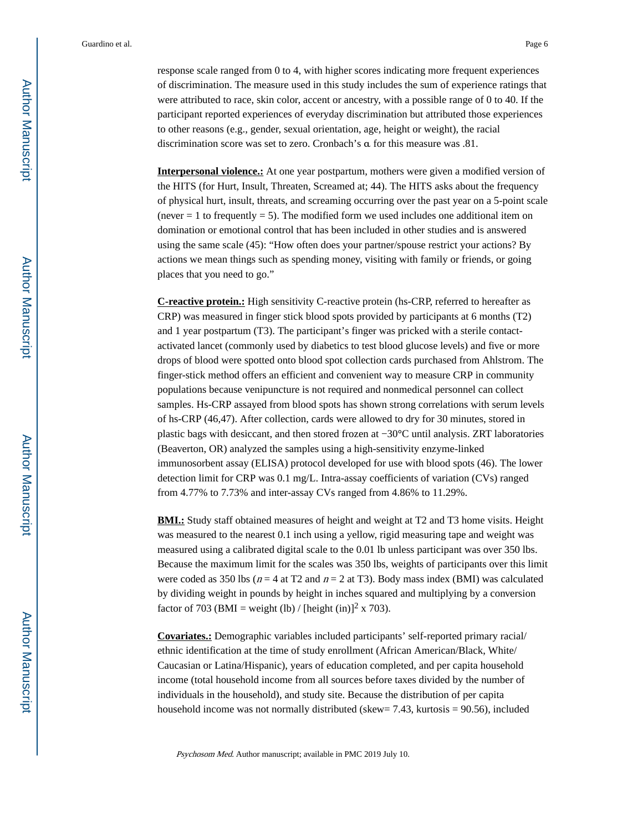response scale ranged from 0 to 4, with higher scores indicating more frequent experiences of discrimination. The measure used in this study includes the sum of experience ratings that were attributed to race, skin color, accent or ancestry, with a possible range of 0 to 40. If the participant reported experiences of everyday discrimination but attributed those experiences to other reasons (e.g., gender, sexual orientation, age, height or weight), the racial discrimination score was set to zero. Cronbach's α for this measure was .81.

**Interpersonal violence.:** At one year postpartum, mothers were given a modified version of the HITS (for Hurt, Insult, Threaten, Screamed at; 44). The HITS asks about the frequency of physical hurt, insult, threats, and screaming occurring over the past year on a 5-point scale (never  $= 1$  to frequently  $= 5$ ). The modified form we used includes one additional item on domination or emotional control that has been included in other studies and is answered using the same scale (45): "How often does your partner/spouse restrict your actions? By actions we mean things such as spending money, visiting with family or friends, or going places that you need to go."

**C-reactive protein.:** High sensitivity C-reactive protein (hs-CRP, referred to hereafter as CRP) was measured in finger stick blood spots provided by participants at 6 months (T2) and 1 year postpartum (T3). The participant's finger was pricked with a sterile contactactivated lancet (commonly used by diabetics to test blood glucose levels) and five or more drops of blood were spotted onto blood spot collection cards purchased from Ahlstrom. The finger-stick method offers an efficient and convenient way to measure CRP in community populations because venipuncture is not required and nonmedical personnel can collect samples. Hs-CRP assayed from blood spots has shown strong correlations with serum levels of hs-CRP (46,47). After collection, cards were allowed to dry for 30 minutes, stored in plastic bags with desiccant, and then stored frozen at −30**°**C until analysis. ZRT laboratories (Beaverton, OR) analyzed the samples using a high-sensitivity enzyme-linked immunosorbent assay (ELISA) protocol developed for use with blood spots (46). The lower detection limit for CRP was 0.1 mg/L. Intra-assay coefficients of variation (CVs) ranged from 4.77% to 7.73% and inter-assay CVs ranged from 4.86% to 11.29%.

**BMI.:** Study staff obtained measures of height and weight at T2 and T3 home visits. Height was measured to the nearest 0.1 inch using a yellow, rigid measuring tape and weight was measured using a calibrated digital scale to the 0.01 lb unless participant was over 350 lbs. Because the maximum limit for the scales was 350 lbs, weights of participants over this limit were coded as 350 lbs ( $n = 4$  at T2 and  $n = 2$  at T3). Body mass index (BMI) was calculated by dividing weight in pounds by height in inches squared and multiplying by a conversion factor of 703 (BMI = weight (lb) / [height (in)]<sup>2</sup> x 703).

**Covariates.:** Demographic variables included participants' self-reported primary racial/ ethnic identification at the time of study enrollment (African American/Black, White/ Caucasian or Latina/Hispanic), years of education completed, and per capita household income (total household income from all sources before taxes divided by the number of individuals in the household), and study site. Because the distribution of per capita household income was not normally distributed (skew= 7.43, kurtosis = 90.56), included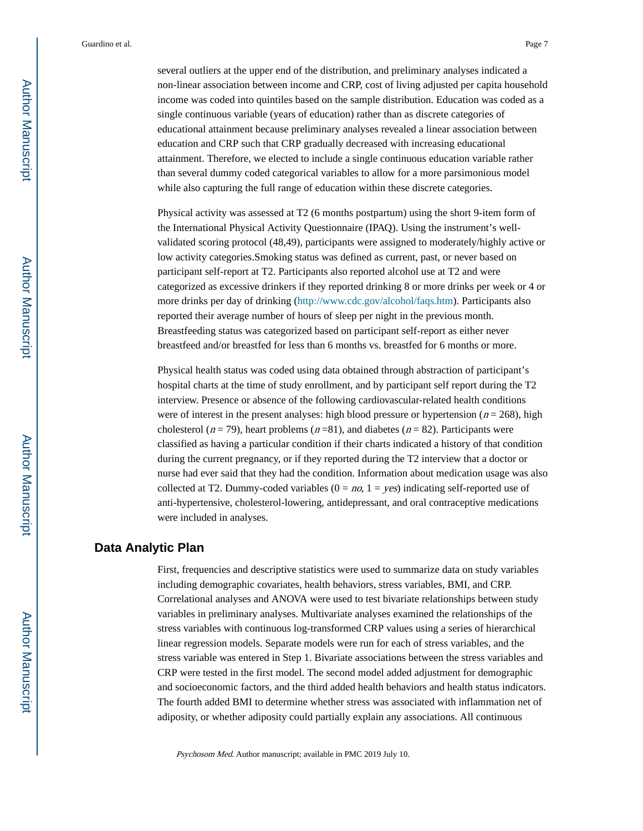several outliers at the upper end of the distribution, and preliminary analyses indicated a non-linear association between income and CRP, cost of living adjusted per capita household income was coded into quintiles based on the sample distribution. Education was coded as a single continuous variable (years of education) rather than as discrete categories of educational attainment because preliminary analyses revealed a linear association between education and CRP such that CRP gradually decreased with increasing educational attainment. Therefore, we elected to include a single continuous education variable rather than several dummy coded categorical variables to allow for a more parsimonious model while also capturing the full range of education within these discrete categories.

Physical activity was assessed at T2 (6 months postpartum) using the short 9-item form of the International Physical Activity Questionnaire (IPAQ). Using the instrument's wellvalidated scoring protocol (48,49), participants were assigned to moderately/highly active or low activity categories.Smoking status was defined as current, past, or never based on participant self-report at T2. Participants also reported alcohol use at T2 and were categorized as excessive drinkers if they reported drinking 8 or more drinks per week or 4 or more drinks per day of drinking [\(http://www.cdc.gov/alcohol/faqs.htm\)](http://www.cdc.gov/alcohol/faqs.htm). Participants also reported their average number of hours of sleep per night in the previous month. Breastfeeding status was categorized based on participant self-report as either never breastfeed and/or breastfed for less than 6 months vs. breastfed for 6 months or more.

Physical health status was coded using data obtained through abstraction of participant's hospital charts at the time of study enrollment, and by participant self report during the T2 interview. Presence or absence of the following cardiovascular-related health conditions were of interest in the present analyses: high blood pressure or hypertension ( $n = 268$ ), high cholesterol ( $n = 79$ ), heart problems ( $n = 81$ ), and diabetes ( $n = 82$ ). Participants were classified as having a particular condition if their charts indicated a history of that condition during the current pregnancy, or if they reported during the T2 interview that a doctor or nurse had ever said that they had the condition. Information about medication usage was also collected at T2. Dummy-coded variables  $(0 = no, 1 = yes)$  indicating self-reported use of anti-hypertensive, cholesterol-lowering, antidepressant, and oral contraceptive medications were included in analyses.

## **Data Analytic Plan**

First, frequencies and descriptive statistics were used to summarize data on study variables including demographic covariates, health behaviors, stress variables, BMI, and CRP. Correlational analyses and ANOVA were used to test bivariate relationships between study variables in preliminary analyses. Multivariate analyses examined the relationships of the stress variables with continuous log-transformed CRP values using a series of hierarchical linear regression models. Separate models were run for each of stress variables, and the stress variable was entered in Step 1. Bivariate associations between the stress variables and CRP were tested in the first model. The second model added adjustment for demographic and socioeconomic factors, and the third added health behaviors and health status indicators. The fourth added BMI to determine whether stress was associated with inflammation net of adiposity, or whether adiposity could partially explain any associations. All continuous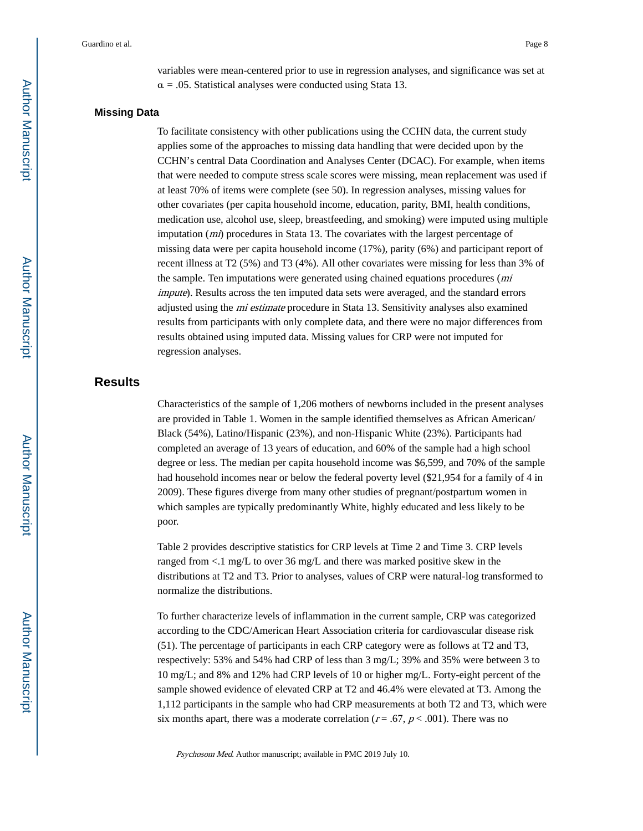variables were mean-centered prior to use in regression analyses, and significance was set at  $\alpha = 0.05$ . Statistical analyses were conducted using Stata 13.

#### **Missing Data**

To facilitate consistency with other publications using the CCHN data, the current study applies some of the approaches to missing data handling that were decided upon by the CCHN's central Data Coordination and Analyses Center (DCAC). For example, when items that were needed to compute stress scale scores were missing, mean replacement was used if at least 70% of items were complete (see 50). In regression analyses, missing values for other covariates (per capita household income, education, parity, BMI, health conditions, medication use, alcohol use, sleep, breastfeeding, and smoking) were imputed using multiple imputation  $(mi)$  procedures in Stata 13. The covariates with the largest percentage of missing data were per capita household income (17%), parity (6%) and participant report of recent illness at T2 (5%) and T3 (4%). All other covariates were missing for less than 3% of the sample. Ten imputations were generated using chained equations procedures (*mi* impute). Results across the ten imputed data sets were averaged, and the standard errors adjusted using the mi estimate procedure in Stata 13. Sensitivity analyses also examined results from participants with only complete data, and there were no major differences from results obtained using imputed data. Missing values for CRP were not imputed for regression analyses.

## **Results**

Characteristics of the sample of 1,206 mothers of newborns included in the present analyses are provided in Table 1. Women in the sample identified themselves as African American/ Black (54%), Latino/Hispanic (23%), and non-Hispanic White (23%). Participants had completed an average of 13 years of education, and 60% of the sample had a high school degree or less. The median per capita household income was \$6,599, and 70% of the sample had household incomes near or below the federal poverty level (\$21,954 for a family of 4 in 2009). These figures diverge from many other studies of pregnant/postpartum women in which samples are typically predominantly White, highly educated and less likely to be poor.

Table 2 provides descriptive statistics for CRP levels at Time 2 and Time 3. CRP levels ranged from <.1 mg/L to over 36 mg/L and there was marked positive skew in the distributions at T2 and T3. Prior to analyses, values of CRP were natural-log transformed to normalize the distributions.

To further characterize levels of inflammation in the current sample, CRP was categorized according to the CDC/American Heart Association criteria for cardiovascular disease risk (51). The percentage of participants in each CRP category were as follows at T2 and T3, respectively: 53% and 54% had CRP of less than 3 mg/L; 39% and 35% were between 3 to 10 mg/L; and 8% and 12% had CRP levels of 10 or higher mg/L. Forty-eight percent of the sample showed evidence of elevated CRP at T2 and 46.4% were elevated at T3. Among the 1,112 participants in the sample who had CRP measurements at both T2 and T3, which were six months apart, there was a moderate correlation ( $r = .67$ ,  $p < .001$ ). There was no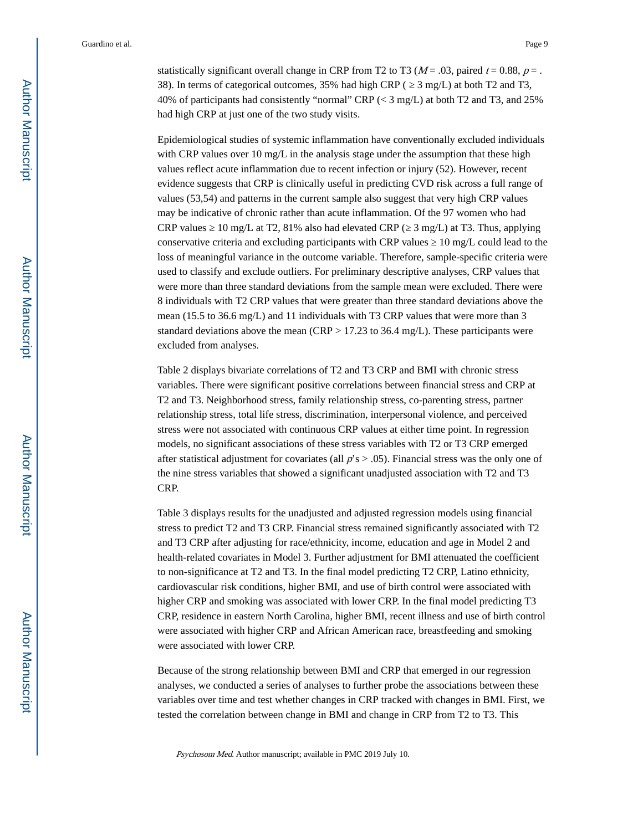statistically significant overall change in CRP from T2 to T3 ( $M = .03$ , paired  $t = 0.88$ ,  $p = .$ 38). In terms of categorical outcomes, 35% had high CRP ( ≥ 3 mg/L) at both T2 and T3, 40% of participants had consistently "normal" CRP (< 3 mg/L) at both T2 and T3, and 25% had high CRP at just one of the two study visits.

Epidemiological studies of systemic inflammation have conventionally excluded individuals with CRP values over 10 mg/L in the analysis stage under the assumption that these high values reflect acute inflammation due to recent infection or injury (52). However, recent evidence suggests that CRP is clinically useful in predicting CVD risk across a full range of values (53,54) and patterns in the current sample also suggest that very high CRP values may be indicative of chronic rather than acute inflammation. Of the 97 women who had CRP values  $10 \text{ mg/L}$  at T2, 81% also had elevated CRP ( $3 \text{ mg/L}$ ) at T3. Thus, applying conservative criteria and excluding participants with CRP values  $\ 10$  mg/L could lead to the loss of meaningful variance in the outcome variable. Therefore, sample-specific criteria were used to classify and exclude outliers. For preliminary descriptive analyses, CRP values that were more than three standard deviations from the sample mean were excluded. There were 8 individuals with T2 CRP values that were greater than three standard deviations above the mean (15.5 to 36.6 mg/L) and 11 individuals with T3 CRP values that were more than 3 standard deviations above the mean (CRP > 17.23 to 36.4 mg/L). These participants were excluded from analyses.

Table 2 displays bivariate correlations of T2 and T3 CRP and BMI with chronic stress variables. There were significant positive correlations between financial stress and CRP at T2 and T3. Neighborhood stress, family relationship stress, co-parenting stress, partner relationship stress, total life stress, discrimination, interpersonal violence, and perceived stress were not associated with continuous CRP values at either time point. In regression models, no significant associations of these stress variables with T2 or T3 CRP emerged after statistical adjustment for covariates (all  $p's > .05$ ). Financial stress was the only one of the nine stress variables that showed a significant unadjusted association with T2 and T3 CRP.

Table 3 displays results for the unadjusted and adjusted regression models using financial stress to predict T2 and T3 CRP. Financial stress remained significantly associated with T2 and T3 CRP after adjusting for race/ethnicity, income, education and age in Model 2 and health-related covariates in Model 3. Further adjustment for BMI attenuated the coefficient to non-significance at T2 and T3. In the final model predicting T2 CRP, Latino ethnicity, cardiovascular risk conditions, higher BMI, and use of birth control were associated with higher CRP and smoking was associated with lower CRP. In the final model predicting T3 CRP, residence in eastern North Carolina, higher BMI, recent illness and use of birth control were associated with higher CRP and African American race, breastfeeding and smoking were associated with lower CRP.

Because of the strong relationship between BMI and CRP that emerged in our regression analyses, we conducted a series of analyses to further probe the associations between these variables over time and test whether changes in CRP tracked with changes in BMI. First, we tested the correlation between change in BMI and change in CRP from T2 to T3. This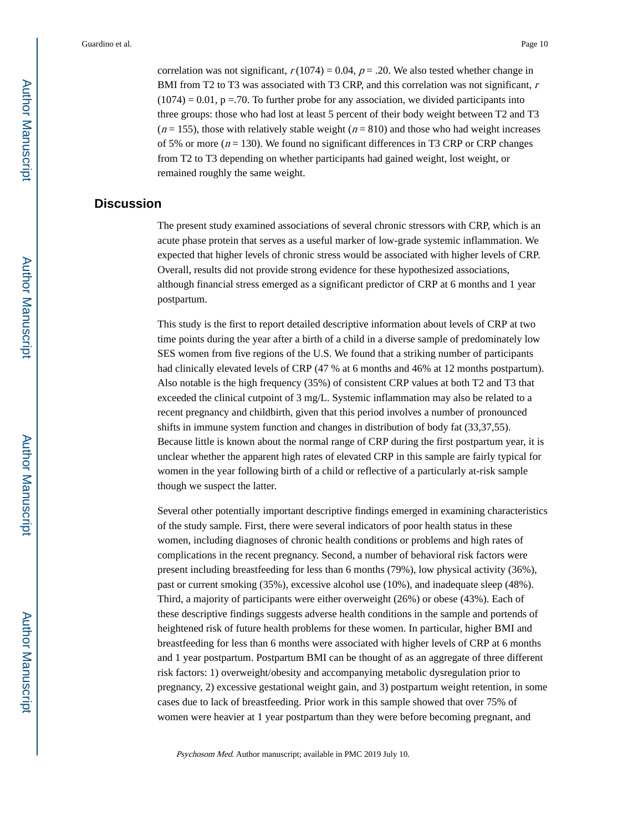correlation was not significant,  $r(1074) = 0.04$ ,  $p = .20$ . We also tested whether change in BMI from T2 to T3 was associated with T3 CRP, and this correlation was not significant,  $r$  $(1074) = 0.01$ , p = .70. To further probe for any association, we divided participants into three groups: those who had lost at least 5 percent of their body weight between T2 and T3  $(n = 155)$ , those with relatively stable weight  $(n = 810)$  and those who had weight increases of 5% or more ( $n = 130$ ). We found no significant differences in T3 CRP or CRP changes from T2 to T3 depending on whether participants had gained weight, lost weight, or remained roughly the same weight.

## **Discussion**

The present study examined associations of several chronic stressors with CRP, which is an acute phase protein that serves as a useful marker of low-grade systemic inflammation. We expected that higher levels of chronic stress would be associated with higher levels of CRP. Overall, results did not provide strong evidence for these hypothesized associations, although financial stress emerged as a significant predictor of CRP at 6 months and 1 year postpartum.

This study is the first to report detailed descriptive information about levels of CRP at two time points during the year after a birth of a child in a diverse sample of predominately low SES women from five regions of the U.S. We found that a striking number of participants had clinically elevated levels of CRP (47 % at 6 months and 46% at 12 months postpartum). Also notable is the high frequency (35%) of consistent CRP values at both T2 and T3 that exceeded the clinical cutpoint of 3 mg/L. Systemic inflammation may also be related to a recent pregnancy and childbirth, given that this period involves a number of pronounced shifts in immune system function and changes in distribution of body fat (33,37,55). Because little is known about the normal range of CRP during the first postpartum year, it is unclear whether the apparent high rates of elevated CRP in this sample are fairly typical for women in the year following birth of a child or reflective of a particularly at-risk sample though we suspect the latter.

Several other potentially important descriptive findings emerged in examining characteristics of the study sample. First, there were several indicators of poor health status in these women, including diagnoses of chronic health conditions or problems and high rates of complications in the recent pregnancy. Second, a number of behavioral risk factors were present including breastfeeding for less than 6 months (79%), low physical activity (36%), past or current smoking (35%), excessive alcohol use (10%), and inadequate sleep (48%). Third, a majority of participants were either overweight (26%) or obese (43%). Each of these descriptive findings suggests adverse health conditions in the sample and portends of heightened risk of future health problems for these women. In particular, higher BMI and breastfeeding for less than 6 months were associated with higher levels of CRP at 6 months and 1 year postpartum. Postpartum BMI can be thought of as an aggregate of three different risk factors: 1) overweight/obesity and accompanying metabolic dysregulation prior to pregnancy, 2) excessive gestational weight gain, and 3) postpartum weight retention, in some cases due to lack of breastfeeding. Prior work in this sample showed that over 75% of women were heavier at 1 year postpartum than they were before becoming pregnant, and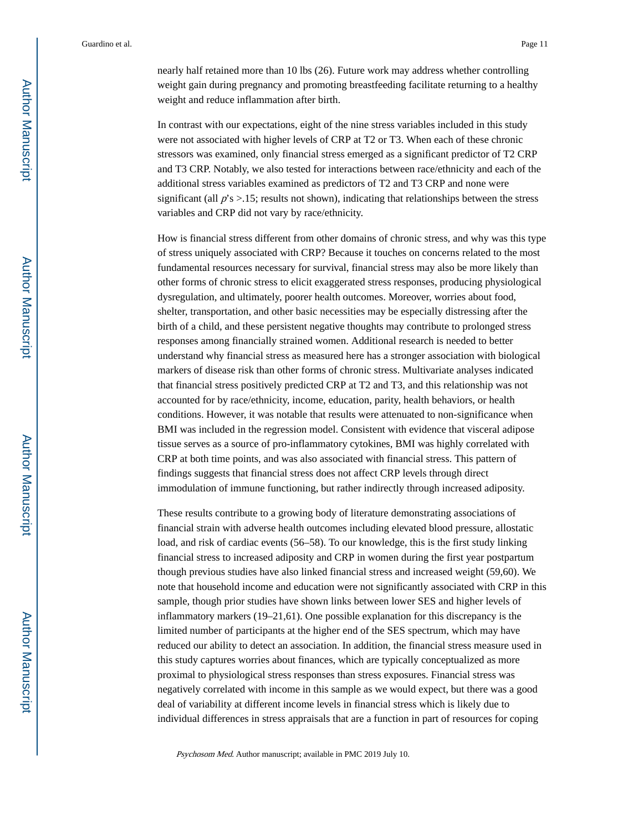nearly half retained more than 10 lbs (26). Future work may address whether controlling weight gain during pregnancy and promoting breastfeeding facilitate returning to a healthy weight and reduce inflammation after birth.

In contrast with our expectations, eight of the nine stress variables included in this study were not associated with higher levels of CRP at T2 or T3. When each of these chronic stressors was examined, only financial stress emerged as a significant predictor of T2 CRP and T3 CRP. Notably, we also tested for interactions between race/ethnicity and each of the additional stress variables examined as predictors of T2 and T3 CRP and none were significant (all  $p$ 's > .15; results not shown), indicating that relationships between the stress variables and CRP did not vary by race/ethnicity.

How is financial stress different from other domains of chronic stress, and why was this type of stress uniquely associated with CRP? Because it touches on concerns related to the most fundamental resources necessary for survival, financial stress may also be more likely than other forms of chronic stress to elicit exaggerated stress responses, producing physiological dysregulation, and ultimately, poorer health outcomes. Moreover, worries about food, shelter, transportation, and other basic necessities may be especially distressing after the birth of a child, and these persistent negative thoughts may contribute to prolonged stress responses among financially strained women. Additional research is needed to better understand why financial stress as measured here has a stronger association with biological markers of disease risk than other forms of chronic stress. Multivariate analyses indicated that financial stress positively predicted CRP at T2 and T3, and this relationship was not accounted for by race/ethnicity, income, education, parity, health behaviors, or health conditions. However, it was notable that results were attenuated to non-significance when BMI was included in the regression model. Consistent with evidence that visceral adipose tissue serves as a source of pro-inflammatory cytokines, BMI was highly correlated with CRP at both time points, and was also associated with financial stress. This pattern of findings suggests that financial stress does not affect CRP levels through direct immodulation of immune functioning, but rather indirectly through increased adiposity.

These results contribute to a growing body of literature demonstrating associations of financial strain with adverse health outcomes including elevated blood pressure, allostatic load, and risk of cardiac events (56–58). To our knowledge, this is the first study linking financial stress to increased adiposity and CRP in women during the first year postpartum though previous studies have also linked financial stress and increased weight (59,60). We note that household income and education were not significantly associated with CRP in this sample, though prior studies have shown links between lower SES and higher levels of inflammatory markers (19–21,61). One possible explanation for this discrepancy is the limited number of participants at the higher end of the SES spectrum, which may have reduced our ability to detect an association. In addition, the financial stress measure used in this study captures worries about finances, which are typically conceptualized as more proximal to physiological stress responses than stress exposures. Financial stress was negatively correlated with income in this sample as we would expect, but there was a good deal of variability at different income levels in financial stress which is likely due to individual differences in stress appraisals that are a function in part of resources for coping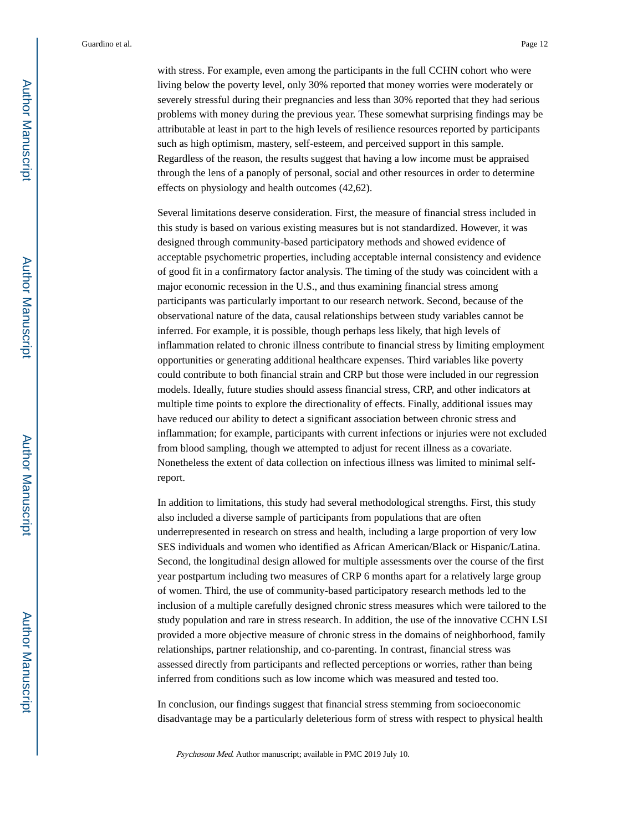with stress. For example, even among the participants in the full CCHN cohort who were living below the poverty level, only 30% reported that money worries were moderately or severely stressful during their pregnancies and less than 30% reported that they had serious problems with money during the previous year. These somewhat surprising findings may be attributable at least in part to the high levels of resilience resources reported by participants such as high optimism, mastery, self-esteem, and perceived support in this sample. Regardless of the reason, the results suggest that having a low income must be appraised through the lens of a panoply of personal, social and other resources in order to determine effects on physiology and health outcomes (42,62).

Several limitations deserve consideration. First, the measure of financial stress included in this study is based on various existing measures but is not standardized. However, it was designed through community-based participatory methods and showed evidence of acceptable psychometric properties, including acceptable internal consistency and evidence of good fit in a confirmatory factor analysis. The timing of the study was coincident with a major economic recession in the U.S., and thus examining financial stress among participants was particularly important to our research network. Second, because of the observational nature of the data, causal relationships between study variables cannot be inferred. For example, it is possible, though perhaps less likely, that high levels of inflammation related to chronic illness contribute to financial stress by limiting employment opportunities or generating additional healthcare expenses. Third variables like poverty could contribute to both financial strain and CRP but those were included in our regression models. Ideally, future studies should assess financial stress, CRP, and other indicators at multiple time points to explore the directionality of effects. Finally, additional issues may have reduced our ability to detect a significant association between chronic stress and inflammation; for example, participants with current infections or injuries were not excluded from blood sampling, though we attempted to adjust for recent illness as a covariate. Nonetheless the extent of data collection on infectious illness was limited to minimal selfreport.

In addition to limitations, this study had several methodological strengths. First, this study also included a diverse sample of participants from populations that are often underrepresented in research on stress and health, including a large proportion of very low SES individuals and women who identified as African American/Black or Hispanic/Latina. Second, the longitudinal design allowed for multiple assessments over the course of the first year postpartum including two measures of CRP 6 months apart for a relatively large group of women. Third, the use of community-based participatory research methods led to the inclusion of a multiple carefully designed chronic stress measures which were tailored to the study population and rare in stress research. In addition, the use of the innovative CCHN LSI provided a more objective measure of chronic stress in the domains of neighborhood, family relationships, partner relationship, and co-parenting. In contrast, financial stress was assessed directly from participants and reflected perceptions or worries, rather than being inferred from conditions such as low income which was measured and tested too.

In conclusion, our findings suggest that financial stress stemming from socioeconomic disadvantage may be a particularly deleterious form of stress with respect to physical health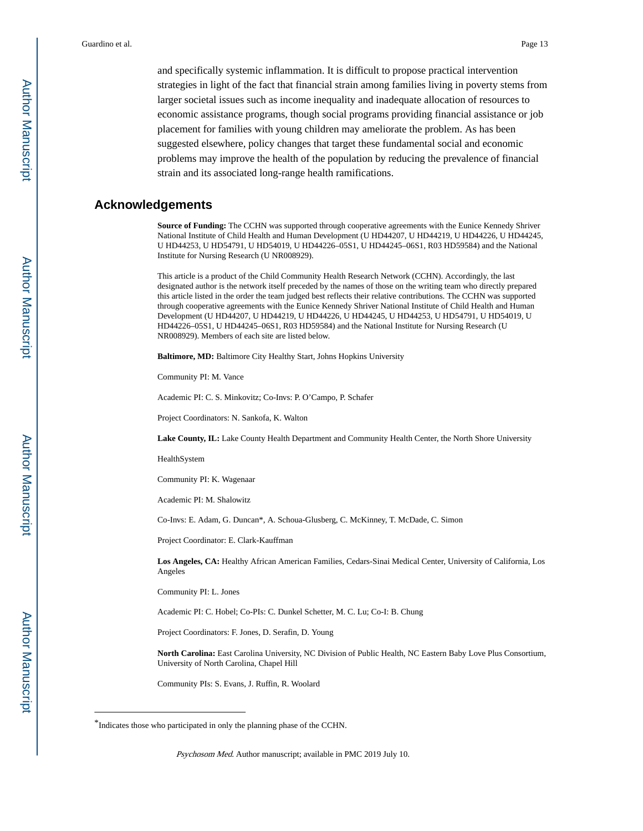and specifically systemic inflammation. It is difficult to propose practical intervention strategies in light of the fact that financial strain among families living in poverty stems from larger societal issues such as income inequality and inadequate allocation of resources to economic assistance programs, though social programs providing financial assistance or job placement for families with young children may ameliorate the problem. As has been suggested elsewhere, policy changes that target these fundamental social and economic problems may improve the health of the population by reducing the prevalence of financial strain and its associated long-range health ramifications.

## **Acknowledgements**

**Source of Funding:** The CCHN was supported through cooperative agreements with the Eunice Kennedy Shriver National Institute of Child Health and Human Development (U HD44207, U HD44219, U HD44226, U HD44245, U HD44253, U HD54791, U HD54019, U HD44226–05S1, U HD44245–06S1, R03 HD59584) and the National Institute for Nursing Research (U NR008929).

This article is a product of the Child Community Health Research Network (CCHN). Accordingly, the last designated author is the network itself preceded by the names of those on the writing team who directly prepared this article listed in the order the team judged best reflects their relative contributions. The CCHN was supported through cooperative agreements with the Eunice Kennedy Shriver National Institute of Child Health and Human Development (U HD44207, U HD44219, U HD44226, U HD44245, U HD44253, U HD54791, U HD54019, U HD44226–05S1, U HD44245–06S1, R03 HD59584) and the National Institute for Nursing Research (U NR008929). Members of each site are listed below.

**Baltimore, MD:** Baltimore City Healthy Start, Johns Hopkins University

Community PI: M. Vance

Academic PI: C. S. Minkovitz; Co-Invs: P. O'Campo, P. Schafer

Project Coordinators: N. Sankofa, K. Walton

**Lake County, IL:** Lake County Health Department and Community Health Center, the North Shore University

HealthSystem

Community PI: K. Wagenaar

Academic PI: M. Shalowitz

Co-Invs: E. Adam, G. Duncan\*, A. Schoua-Glusberg, C. McKinney, T. McDade, C. Simon

Project Coordinator: E. Clark-Kauffman

**Los Angeles, CA:** Healthy African American Families, Cedars-Sinai Medical Center, University of California, Los Angeles

Community PI: L. Jones

Academic PI: C. Hobel; Co-PIs: C. Dunkel Schetter, M. C. Lu; Co-I: B. Chung

Project Coordinators: F. Jones, D. Serafin, D. Young

**North Carolina:** East Carolina University, NC Division of Public Health, NC Eastern Baby Love Plus Consortium, University of North Carolina, Chapel Hill

Community PIs: S. Evans, J. Ruffin, R. Woolard

<sup>\*</sup>Indicates those who participated in only the planning phase of the CCHN.

Psychosom Med. Author manuscript; available in PMC 2019 July 10.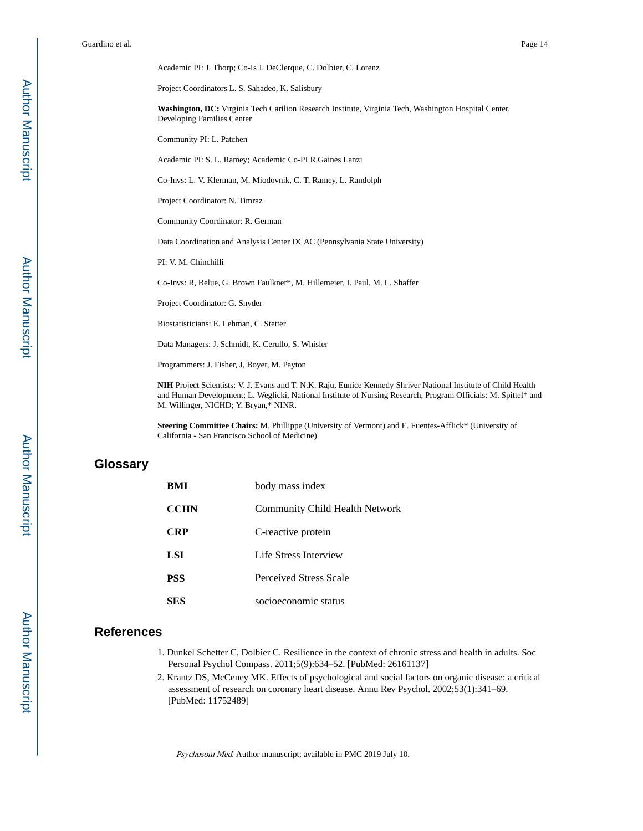Academic PI: J. Thorp; Co-Is J. DeClerque, C. Dolbier, C. Lorenz Project Coordinators L. S. Sahadeo, K. Salisbury **Washington, DC:** Virginia Tech Carilion Research Institute, Virginia Tech, Washington Hospital Center, Developing Families Center Community PI: L. Patchen Academic PI: S. L. Ramey; Academic Co-PI R.Gaines Lanzi Co-Invs: L. V. Klerman, M. Miodovnik, C. T. Ramey, L. Randolph Project Coordinator: N. Timraz Community Coordinator: R. German Data Coordination and Analysis Center DCAC (Pennsylvania State University) PI: V. M. Chinchilli Co-Invs: R, Belue, G. Brown Faulkner\*, M, Hillemeier, I. Paul, M. L. Shaffer Project Coordinator: G. Snyder Biostatisticians: E. Lehman, C. Stetter Data Managers: J. Schmidt, K. Cerullo, S. Whisler

Programmers: J. Fisher, J, Boyer, M. Payton

**NIH** Project Scientists: V. J. Evans and T. N.K. Raju, Eunice Kennedy Shriver National Institute of Child Health and Human Development; L. Weglicki, National Institute of Nursing Research, Program Officials: M. Spittel\* and M. Willinger, NICHD; Y. Bryan,\* NINR.

**Steering Committee Chairs:** M. Phillippe (University of Vermont) and E. Fuentes-Afflick\* (University of California - San Francisco School of Medicine)

## **Glossary**

| BMI         | body mass index                |
|-------------|--------------------------------|
| <b>CCHN</b> | Community Child Health Network |
| <b>CRP</b>  | C-reactive protein             |
| LSI         | Life Stress Interview          |
| PSS         | Perceived Stress Scale         |
| SES         | socioeconomic status           |

## **References**

- 1. Dunkel Schetter C, Dolbier C. Resilience in the context of chronic stress and health in adults. Soc Personal Psychol Compass. 2011;5(9):634–52. [PubMed: 26161137]
- 2. Krantz DS, McCeney MK. Effects of psychological and social factors on organic disease: a critical assessment of research on coronary heart disease. Annu Rev Psychol. 2002;53(1):341–69. [PubMed: 11752489]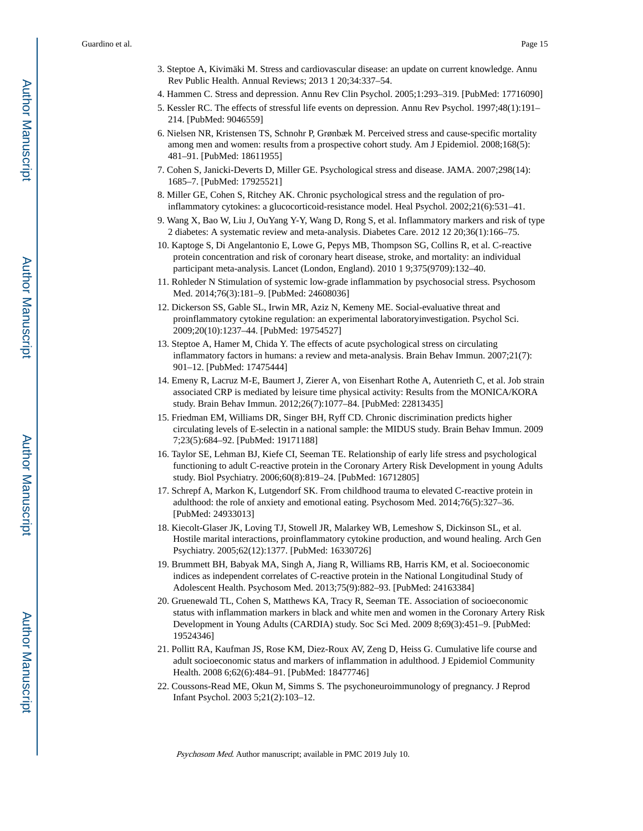- 3. Steptoe A, Kivimäki M. Stress and cardiovascular disease: an update on current knowledge. Annu Rev Public Health. Annual Reviews; 2013 1 20;34:337–54.
- 4. Hammen C. Stress and depression. Annu Rev Clin Psychol. 2005;1:293–319. [PubMed: 17716090]
- 5. Kessler RC. The effects of stressful life events on depression. Annu Rev Psychol. 1997;48(1):191– 214. [PubMed: 9046559]
- 6. Nielsen NR, Kristensen TS, Schnohr P, Grønbæk M. Perceived stress and cause-specific mortality among men and women: results from a prospective cohort study. Am J Epidemiol. 2008;168(5): 481–91. [PubMed: 18611955]
- 7. Cohen S, Janicki-Deverts D, Miller GE. Psychological stress and disease. JAMA. 2007;298(14): 1685–7. [PubMed: 17925521]
- 8. Miller GE, Cohen S, Ritchey AK. Chronic psychological stress and the regulation of proinflammatory cytokines: a glucocorticoid-resistance model. Heal Psychol. 2002;21(6):531–41.
- 9. Wang X, Bao W, Liu J, OuYang Y-Y, Wang D, Rong S, et al. Inflammatory markers and risk of type 2 diabetes: A systematic review and meta-analysis. Diabetes Care. 2012 12 20;36(1):166–75.
- 10. Kaptoge S, Di Angelantonio E, Lowe G, Pepys MB, Thompson SG, Collins R, et al. C-reactive protein concentration and risk of coronary heart disease, stroke, and mortality: an individual participant meta-analysis. Lancet (London, England). 2010 1 9;375(9709):132–40.
- 11. Rohleder N Stimulation of systemic low-grade inflammation by psychosocial stress. Psychosom Med. 2014;76(3):181–9. [PubMed: 24608036]
- 12. Dickerson SS, Gable SL, Irwin MR, Aziz N, Kemeny ME. Social-evaluative threat and proinflammatory cytokine regulation: an experimental laboratoryinvestigation. Psychol Sci. 2009;20(10):1237–44. [PubMed: 19754527]
- 13. Steptoe A, Hamer M, Chida Y. The effects of acute psychological stress on circulating inflammatory factors in humans: a review and meta-analysis. Brain Behav Immun. 2007;21(7): 901–12. [PubMed: 17475444]
- 14. Emeny R, Lacruz M-E, Baumert J, Zierer A, von Eisenhart Rothe A, Autenrieth C, et al. Job strain associated CRP is mediated by leisure time physical activity: Results from the MONICA/KORA study. Brain Behav Immun. 2012;26(7):1077–84. [PubMed: 22813435]
- 15. Friedman EM, Williams DR, Singer BH, Ryff CD. Chronic discrimination predicts higher circulating levels of E-selectin in a national sample: the MIDUS study. Brain Behav Immun. 2009 7;23(5):684–92. [PubMed: 19171188]
- 16. Taylor SE, Lehman BJ, Kiefe CI, Seeman TE. Relationship of early life stress and psychological functioning to adult C-reactive protein in the Coronary Artery Risk Development in young Adults study. Biol Psychiatry. 2006;60(8):819–24. [PubMed: 16712805]
- 17. Schrepf A, Markon K, Lutgendorf SK. From childhood trauma to elevated C-reactive protein in adulthood: the role of anxiety and emotional eating. Psychosom Med. 2014;76(5):327–36. [PubMed: 24933013]
- 18. Kiecolt-Glaser JK, Loving TJ, Stowell JR, Malarkey WB, Lemeshow S, Dickinson SL, et al. Hostile marital interactions, proinflammatory cytokine production, and wound healing. Arch Gen Psychiatry. 2005;62(12):1377. [PubMed: 16330726]
- 19. Brummett BH, Babyak MA, Singh A, Jiang R, Williams RB, Harris KM, et al. Socioeconomic indices as independent correlates of C-reactive protein in the National Longitudinal Study of Adolescent Health. Psychosom Med. 2013;75(9):882–93. [PubMed: 24163384]
- 20. Gruenewald TL, Cohen S, Matthews KA, Tracy R, Seeman TE. Association of socioeconomic status with inflammation markers in black and white men and women in the Coronary Artery Risk Development in Young Adults (CARDIA) study. Soc Sci Med. 2009 8;69(3):451–9. [PubMed: 19524346]
- 21. Pollitt RA, Kaufman JS, Rose KM, Diez-Roux AV, Zeng D, Heiss G. Cumulative life course and adult socioeconomic status and markers of inflammation in adulthood. J Epidemiol Community Health. 2008 6;62(6):484–91. [PubMed: 18477746]
- 22. Coussons-Read ME, Okun M, Simms S. The psychoneuroimmunology of pregnancy. J Reprod Infant Psychol. 2003 5;21(2):103–12.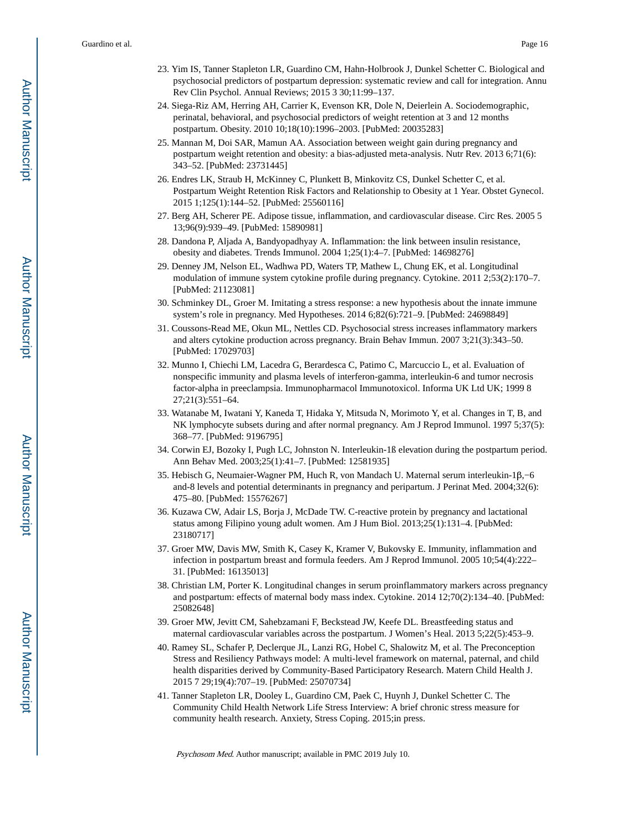- 23. Yim IS, Tanner Stapleton LR, Guardino CM, Hahn-Holbrook J, Dunkel Schetter C. Biological and psychosocial predictors of postpartum depression: systematic review and call for integration. Annu Rev Clin Psychol. Annual Reviews; 2015 3 30;11:99–137.
- 24. Siega-Riz AM, Herring AH, Carrier K, Evenson KR, Dole N, Deierlein A. Sociodemographic, perinatal, behavioral, and psychosocial predictors of weight retention at 3 and 12 months postpartum. Obesity. 2010 10;18(10):1996–2003. [PubMed: 20035283]
- 25. Mannan M, Doi SAR, Mamun AA. Association between weight gain during pregnancy and postpartum weight retention and obesity: a bias-adjusted meta-analysis. Nutr Rev. 2013 6;71(6): 343–52. [PubMed: 23731445]
- 26. Endres LK, Straub H, McKinney C, Plunkett B, Minkovitz CS, Dunkel Schetter C, et al. Postpartum Weight Retention Risk Factors and Relationship to Obesity at 1 Year. Obstet Gynecol. 2015 1;125(1):144–52. [PubMed: 25560116]
- 27. Berg AH, Scherer PE. Adipose tissue, inflammation, and cardiovascular disease. Circ Res. 2005 5 13;96(9):939–49. [PubMed: 15890981]
- 28. Dandona P, Aljada A, Bandyopadhyay A. Inflammation: the link between insulin resistance, obesity and diabetes. Trends Immunol. 2004 1;25(1):4–7. [PubMed: 14698276]
- 29. Denney JM, Nelson EL, Wadhwa PD, Waters TP, Mathew L, Chung EK, et al. Longitudinal modulation of immune system cytokine profile during pregnancy. Cytokine. 2011 2;53(2):170–7. [PubMed: 21123081]
- 30. Schminkey DL, Groer M. Imitating a stress response: a new hypothesis about the innate immune system's role in pregnancy. Med Hypotheses. 2014 6;82(6):721–9. [PubMed: 24698849]
- 31. Coussons-Read ME, Okun ML, Nettles CD. Psychosocial stress increases inflammatory markers and alters cytokine production across pregnancy. Brain Behav Immun. 2007 3;21(3):343–50. [PubMed: 17029703]
- 32. Munno I, Chiechi LM, Lacedra G, Berardesca C, Patimo C, Marcuccio L, et al. Evaluation of nonspecific immunity and plasma levels of interferon-gamma, interleukin-6 and tumor necrosis factor-alpha in preeclampsia. Immunopharmacol Immunotoxicol. Informa UK Ltd UK; 1999 8 27;21(3):551–64.
- 33. Watanabe M, Iwatani Y, Kaneda T, Hidaka Y, Mitsuda N, Morimoto Y, et al. Changes in T, B, and NK lymphocyte subsets during and after normal pregnancy. Am J Reprod Immunol. 1997 5;37(5): 368–77. [PubMed: 9196795]
- 34. Corwin EJ, Bozoky I, Pugh LC, Johnston N. Interleukin-1ß elevation during the postpartum period. Ann Behav Med. 2003;25(1):41–7. [PubMed: 12581935]
- 35. Hebisch G, Neumaier-Wagner PM, Huch R, von Mandach U. Maternal serum interleukin-1β,−6 and-8 levels and potential determinants in pregnancy and peripartum. J Perinat Med. 2004;32(6): 475–80. [PubMed: 15576267]
- 36. Kuzawa CW, Adair LS, Borja J, McDade TW. C-reactive protein by pregnancy and lactational status among Filipino young adult women. Am J Hum Biol. 2013;25(1):131–4. [PubMed: 23180717]
- 37. Groer MW, Davis MW, Smith K, Casey K, Kramer V, Bukovsky E. Immunity, inflammation and infection in postpartum breast and formula feeders. Am J Reprod Immunol. 2005 10;54(4):222– 31. [PubMed: 16135013]
- 38. Christian LM, Porter K. Longitudinal changes in serum proinflammatory markers across pregnancy and postpartum: effects of maternal body mass index. Cytokine. 2014 12;70(2):134–40. [PubMed: 25082648]
- 39. Groer MW, Jevitt CM, Sahebzamani F, Beckstead JW, Keefe DL. Breastfeeding status and maternal cardiovascular variables across the postpartum. J Women's Heal. 2013 5;22(5):453–9.
- 40. Ramey SL, Schafer P, Declerque JL, Lanzi RG, Hobel C, Shalowitz M, et al. The Preconception Stress and Resiliency Pathways model: A multi-level framework on maternal, paternal, and child health disparities derived by Community-Based Participatory Research. Matern Child Health J. 2015 7 29;19(4):707–19. [PubMed: 25070734]
- 41. Tanner Stapleton LR, Dooley L, Guardino CM, Paek C, Huynh J, Dunkel Schetter C. The Community Child Health Network Life Stress Interview: A brief chronic stress measure for community health research. Anxiety, Stress Coping. 2015;in press.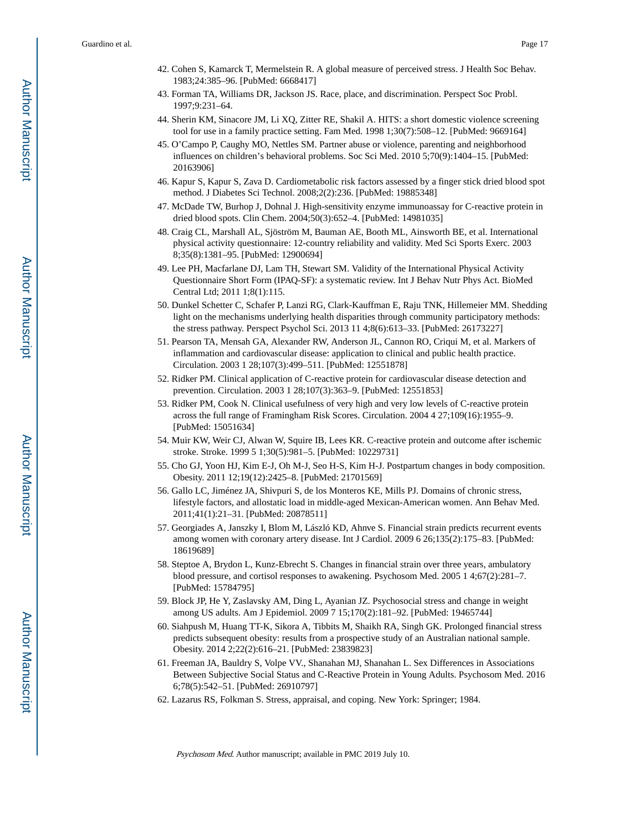- 42. Cohen S, Kamarck T, Mermelstein R. A global measure of perceived stress. J Health Soc Behav. 1983;24:385–96. [PubMed: 6668417]
- 43. Forman TA, Williams DR, Jackson JS. Race, place, and discrimination. Perspect Soc Probl. 1997;9:231–64.
- 44. Sherin KM, Sinacore JM, Li XQ, Zitter RE, Shakil A. HITS: a short domestic violence screening tool for use in a family practice setting. Fam Med. 1998 1;30(7):508–12. [PubMed: 9669164]
- 45. O'Campo P, Caughy MO, Nettles SM. Partner abuse or violence, parenting and neighborhood influences on children's behavioral problems. Soc Sci Med. 2010 5;70(9):1404–15. [PubMed: 20163906]
- 46. Kapur S, Kapur S, Zava D. Cardiometabolic risk factors assessed by a finger stick dried blood spot method. J Diabetes Sci Technol. 2008;2(2):236. [PubMed: 19885348]
- 47. McDade TW, Burhop J, Dohnal J. High-sensitivity enzyme immunoassay for C-reactive protein in dried blood spots. Clin Chem. 2004;50(3):652–4. [PubMed: 14981035]
- 48. Craig CL, Marshall AL, Sjöström M, Bauman AE, Booth ML, Ainsworth BE, et al. International physical activity questionnaire: 12-country reliability and validity. Med Sci Sports Exerc. 2003 8;35(8):1381–95. [PubMed: 12900694]
- 49. Lee PH, Macfarlane DJ, Lam TH, Stewart SM. Validity of the International Physical Activity Questionnaire Short Form (IPAQ-SF): a systematic review. Int J Behav Nutr Phys Act. BioMed Central Ltd; 2011 1;8(1):115.
- 50. Dunkel Schetter C, Schafer P, Lanzi RG, Clark-Kauffman E, Raju TNK, Hillemeier MM. Shedding light on the mechanisms underlying health disparities through community participatory methods: the stress pathway. Perspect Psychol Sci. 2013 11 4;8(6):613–33. [PubMed: 26173227]
- 51. Pearson TA, Mensah GA, Alexander RW, Anderson JL, Cannon RO, Criqui M, et al. Markers of inflammation and cardiovascular disease: application to clinical and public health practice. Circulation. 2003 1 28;107(3):499–511. [PubMed: 12551878]
- 52. Ridker PM. Clinical application of C-reactive protein for cardiovascular disease detection and prevention. Circulation. 2003 1 28;107(3):363–9. [PubMed: 12551853]
- 53. Ridker PM, Cook N. Clinical usefulness of very high and very low levels of C-reactive protein across the full range of Framingham Risk Scores. Circulation. 2004 4 27;109(16):1955–9. [PubMed: 15051634]
- 54. Muir KW, Weir CJ, Alwan W, Squire IB, Lees KR. C-reactive protein and outcome after ischemic stroke. Stroke. 1999 5 1;30(5):981–5. [PubMed: 10229731]
- 55. Cho GJ, Yoon HJ, Kim E-J, Oh M-J, Seo H-S, Kim H-J. Postpartum changes in body composition. Obesity. 2011 12;19(12):2425–8. [PubMed: 21701569]
- 56. Gallo LC, Jiménez JA, Shivpuri S, de los Monteros KE, Mills PJ. Domains of chronic stress, lifestyle factors, and allostatic load in middle-aged Mexican-American women. Ann Behav Med. 2011;41(1):21–31. [PubMed: 20878511]
- 57. Georgiades A, Janszky I, Blom M, László KD, Ahnve S. Financial strain predicts recurrent events among women with coronary artery disease. Int J Cardiol. 2009 6 26;135(2):175–83. [PubMed: 18619689]
- 58. Steptoe A, Brydon L, Kunz-Ebrecht S. Changes in financial strain over three years, ambulatory blood pressure, and cortisol responses to awakening. Psychosom Med. 2005 1 4;67(2):281–7. [PubMed: 15784795]
- 59. Block JP, He Y, Zaslavsky AM, Ding L, Ayanian JZ. Psychosocial stress and change in weight among US adults. Am J Epidemiol. 2009 7 15;170(2):181–92. [PubMed: 19465744]
- 60. Siahpush M, Huang TT-K, Sikora A, Tibbits M, Shaikh RA, Singh GK. Prolonged financial stress predicts subsequent obesity: results from a prospective study of an Australian national sample. Obesity. 2014 2;22(2):616–21. [PubMed: 23839823]
- 61. Freeman JA, Bauldry S, Volpe VV., Shanahan MJ, Shanahan L. Sex Differences in Associations Between Subjective Social Status and C-Reactive Protein in Young Adults. Psychosom Med. 2016 6;78(5):542–51. [PubMed: 26910797]
- 62. Lazarus RS, Folkman S. Stress, appraisal, and coping. New York: Springer; 1984.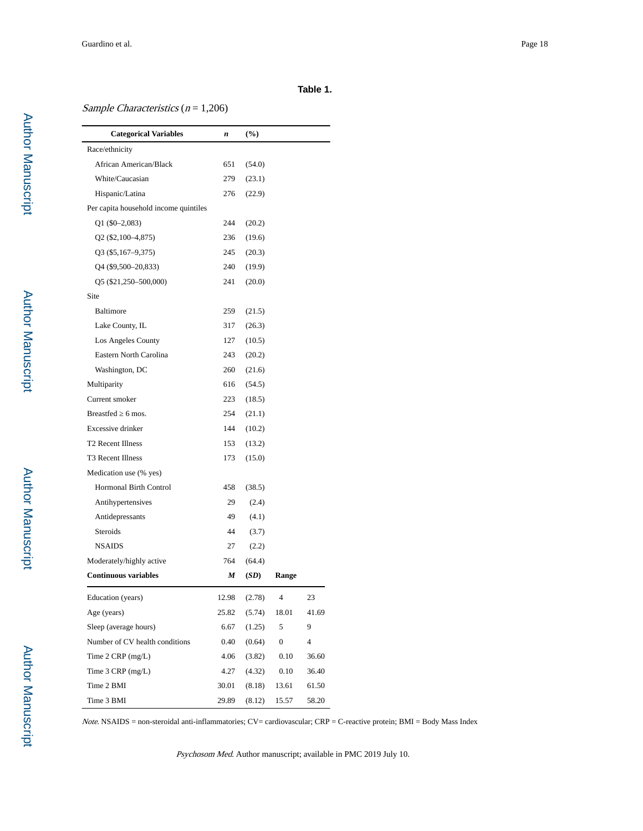## **Table 1.**

## Sample Characteristics ( $n = 1,206$ )

| <b>Categorical Variables</b>          | n     | $(\%)$ |                  |       |
|---------------------------------------|-------|--------|------------------|-------|
| Race/ethnicity                        |       |        |                  |       |
| African American/Black                | 651   | (54.0) |                  |       |
| White/Caucasian                       | 279   | (23.1) |                  |       |
| Hispanic/Latina                       | 276   | (22.9) |                  |       |
| Per capita household income quintiles |       |        |                  |       |
| $Q1($ \$0-2,083)                      | 244   | (20.2) |                  |       |
| Q <sub>2</sub> (\$2,100–4,875)        | 236   | (19.6) |                  |       |
| $Q3($ \$5,167-9,375)                  | 245   | (20.3) |                  |       |
| Q4 (\$9,500–20,833)                   | 240   | (19.9) |                  |       |
| Q5 (\$21,250-500,000)                 | 241   | (20.0) |                  |       |
| Site                                  |       |        |                  |       |
| Baltimore                             | 259   | (21.5) |                  |       |
| Lake County, IL                       | 317   | (26.3) |                  |       |
| Los Angeles County                    | 127   | (10.5) |                  |       |
| Eastern North Carolina                | 243   | (20.2) |                  |       |
| Washington, DC                        | 260   | (21.6) |                  |       |
| Multiparity                           | 616   | (54.5) |                  |       |
| Current smoker                        | 223   | (18.5) |                  |       |
| <b>Breastfed</b><br>$6 \text{ mos}$ . | 254   | (21.1) |                  |       |
| Excessive drinker                     | 144   | (10.2) |                  |       |
| T <sub>2</sub> Recent Illness         | 153   | (13.2) |                  |       |
| T3 Recent Illness                     | 173   | (15.0) |                  |       |
| Medication use (% yes)                |       |        |                  |       |
| Hormonal Birth Control                | 458   | (38.5) |                  |       |
| Antihypertensives                     | 29    | (2.4)  |                  |       |
| Antidepressants                       | 49    | (4.1)  |                  |       |
| Steroids                              | 44    | (3.7)  |                  |       |
| <b>NSAIDS</b>                         | 27    | (2.2)  |                  |       |
| Moderately/highly active              | 764   | (64.4) |                  |       |
| <b>Continuous variables</b>           | M     | (SD)   | Range            |       |
| Education (years)                     | 12.98 | (2.78) | 4                | 23    |
| Age (years)                           | 25.82 | (5.74) | 18.01            | 41.69 |
| Sleep (average hours)                 | 6.67  | (1.25) | 5                | 9     |
| Number of CV health conditions        | 0.40  | (0.64) | $\boldsymbol{0}$ | 4     |
| Time $2$ CRP (mg/L)                   | 4.06  | (3.82) | 0.10             | 36.60 |
| Time $3$ CRP (mg/L)                   | 4.27  | (4.32) | 0.10             | 36.40 |
| Time 2 BMI                            | 30.01 | (8.18) | 13.61            | 61.50 |
| Time 3 BMI                            | 29.89 | (8.12) | 15.57            | 58.20 |

 $Note. NSAIDS = non-steroidal anti-inflammatories; CV = cardiovascular; CRP = C-reactive protein; BMI = Body Mass Index$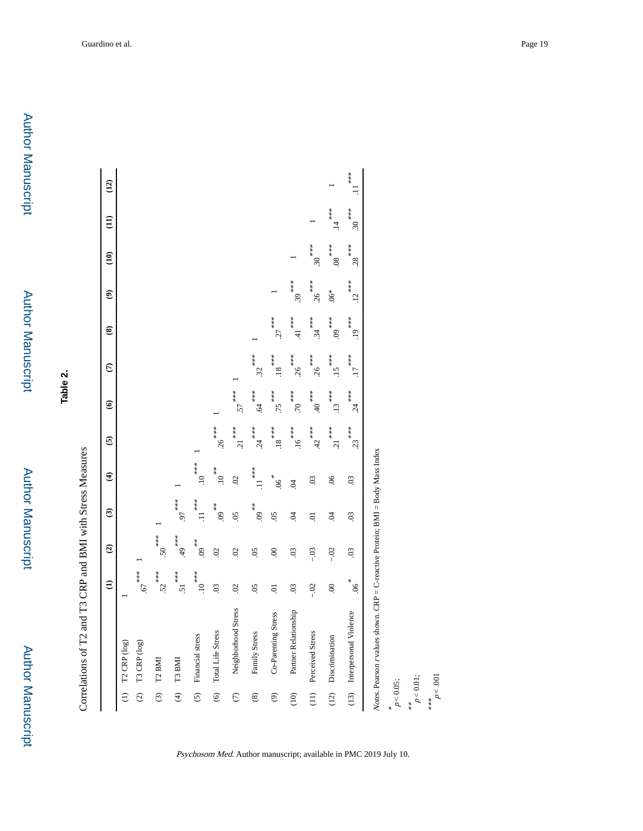**Table 2.**

| VIPRESI                           |
|-----------------------------------|
| <b>Virest</b>                     |
|                                   |
|                                   |
|                                   |
|                                   |
|                                   |
| alations of T2 CDD and RMI with S |

|                              |                             | $\widehat{E}$       | $\widehat{\mathbf{c}}$ | $\widehat{\mathbf{c}}$        | $\widehat{\mathbf{t}}$    | $\widehat{\mathbf{e}}$         | $\widehat{\mathbf{e}}$     | $\epsilon$           | ⊛                    | ම        | $\widehat{E}$   | $\widehat{E}$               | $\overline{12}$ |
|------------------------------|-----------------------------|---------------------|------------------------|-------------------------------|---------------------------|--------------------------------|----------------------------|----------------------|----------------------|----------|-----------------|-----------------------------|-----------------|
|                              | $(1)$ T2 CRP $(log)$        |                     |                        |                               |                           |                                |                            |                      |                      |          |                 |                             |                 |
| $\widetilde{c}$              | T3 CRP (log)                | 67                  |                        |                               |                           |                                |                            |                      |                      |          |                 |                             |                 |
|                              | $(3)$ T2 BMI                | $52^{***}$          | $50^{***}$             |                               |                           |                                |                            |                      |                      |          |                 |                             |                 |
| $\widehat{\mathcal{L}}$      | T3 BMI                      | $51$ <sup>***</sup> | $**$<br>49.            | 55.8                          |                           |                                |                            |                      |                      |          |                 |                             |                 |
| $\overline{c}$               | Financial stress            | $10^{***}$          | $^{***}$ 60.           | $\cdot$ <sup>***</sup><br>.11 | $10^{***}$                |                                |                            |                      |                      |          |                 |                             |                 |
| $\odot$                      | Total Life Stress           | $\overline{0}$      | $\overline{0}$         | $**$ 60.                      | $10^{***}$                | .26                            |                            |                      |                      |          |                 |                             |                 |
| $\widehat{C}$                | Stress<br>Neighborhood      | $\ddot{\circ}$      | $\overline{0}$         | $\overline{50}$               | $\mathcal{S}$             | $\frac{1}{2}$<br>$\frac{1}{2}$ | $57^{***}$                 |                      |                      |          |                 |                             |                 |
| $\circledS$                  | Family Stress               | $\overline{50}$     | $\overline{50}$        | 60.                           | $\cdot \prod_{k=1}^{k+k}$ | $.24***$                       | 64                         | $.32^{***}$          |                      |          |                 |                             |                 |
| $\circledcirc$               | Co-Parenting Stress         | $\ddot{\circ}$      | $\ddot{\circ}$         | $\overline{50}$               | $^{*}$ 80.                | $$ 18                          | 55.                        | $18$ .               | $27$ ***             |          |                 |                             |                 |
| $\left( \frac{1}{2} \right)$ | Partner Relationship        | $\overline{0}$      | $\overline{0}$         | S.                            | $\ddot{\mathrm{S}}$       | $.16^{***}$                    | $70^{***}$                 | $.26***$             | $41$ ***             | $.39***$ |                 |                             |                 |
| $\frac{1}{2}$                | Perceived Stress            | $-02$               | $-0.3$                 | 5.                            | $\overline{0}$            | $42^{***}$                     | $***$<br>40 <sup>***</sup> | .26                  | $34$ <sup>***</sup>  | .26      | $30^{***}$      |                             |                 |
| (12)                         | Discrimination              | $\odot$             | $-02$                  | $\ddot{9}$                    | $\frac{6}{2}$             | $\frac{1}{2}$<br>$\frac{1}{2}$ | $.13***$                   | $.15$ <sup>***</sup> | $**$<br>$60.$        | $.06*$   | $\frac{80}{36}$ | .14                         |                 |
|                              | (13) Interpersonal Violence | $^{*}$ .06          | $\ddot{\mathrm{c}}$    | $\ddot{\mathrm{c}}$           | $\ddot{\mathrm{S}}$       | $.23$ <sup>***</sup>           | $.24***$                   | $17$ <sup>***</sup>  | $.19$ <sup>***</sup> | .12      | $.28***$        | $^{***}$ .30 <sup>***</sup> | $\ddot{x}$      |

Psychosom Med. Author manuscript; available in PMC 2019 July 10.

 $p < 0.05$ ;<br>
\*\*<br>  $p < 0.01$ ;<br>
\*\*\*<br>
\*\*\*<br>  $p < 0.01$ ;

 $p < .001$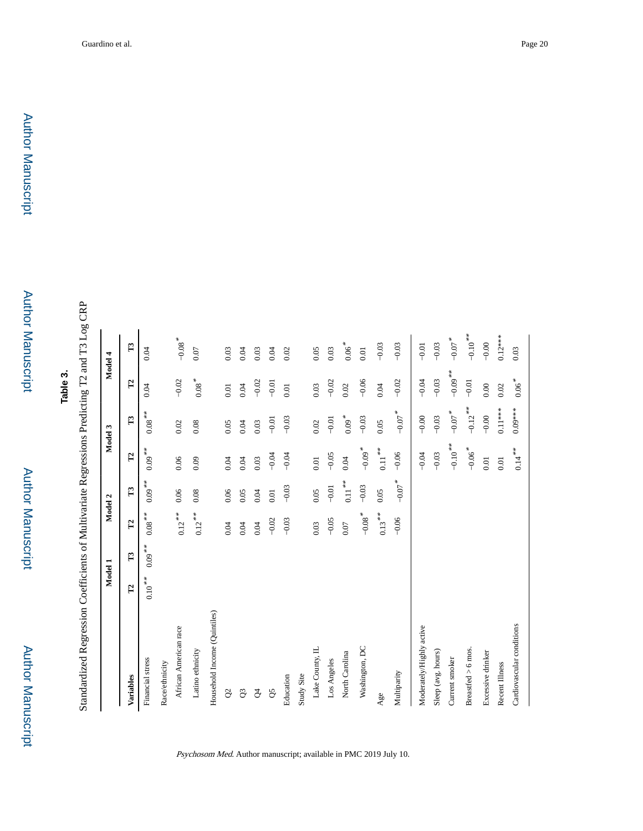**Table 3.**

Standardized Regression Coefficients of Multivariate Regressions Predicting T2 and T3 Log CRP Standardized Regression Coefficients of Multivariate Regressions Predicting T2 and T3 Log CRP

|                              |              | Model 1      |                   | Model 2        |                      | Model 3           |                  | Model 4              |
|------------------------------|--------------|--------------|-------------------|----------------|----------------------|-------------------|------------------|----------------------|
| Variables                    | $\mathbf{r}$ | $\mathbb{E}$ | $\mathbf{r}$      | $\mathbb{E}$   | $\mathbf{L}$         | $\mathbb{Z}$      | $\mathbf{L}$     | $\mathbb{Z}$         |
| Financial stress             | $0.10***$    | $0.09***$    |                   | $0.09***$      | $0.09***$            | $0.08***$         | 0.04             | 0.04                 |
| Race/ethnicity               |              |              |                   |                |                      |                   |                  |                      |
| African American race        |              |              | $0.12***$         | 0.06           | 0.06                 | 0.02              | $-0.02$          | $-0.08$ <sup>*</sup> |
| Latino ethnicity             |              |              | $0.12***$         | 0.08           | 0.09                 | 0.08              | $0.08$ $^{\ast}$ | 0.07                 |
| Household Income (Quintiles) |              |              |                   |                |                      |                   |                  |                      |
| $\beta$                      |              |              | 0.04              | 0.06           | 0.04                 | 0.05              | $0.01$           | 0.03                 |
| $\mathcal{Q}$                |              |              | 0.04              | 0.05           | 0.04                 | 0.04              | 0.04             | 0.04                 |
| $\beta$                      |              |              | 0.04              | 0.04           | 0.03                 | 0.03              | $-0.02$          | 0.03                 |
| $\mathcal{S}^{\mathcal{S}}$  |              |              | $-0.02$           | $0.01\,$       | $-0.04$              | $-0.01$           | $-0.01$          | 0.04                 |
| Education                    |              |              | $-0.03$           | $-0.03$        | $-0.04$              | $-0.03$           | 0.01             | 0.02                 |
| Study Site                   |              |              |                   |                |                      |                   |                  |                      |
| Lake County, IL              |              |              | 0.03              | 0.05           | 0.01                 | 0.02              | 0.03             | 0.05                 |
| Los Angeles                  |              |              | $-0.05$           | $-0.01$        | $-0.05$              | $-0.01$           | $-0.02$          | 0.03                 |
| North Carolina               |              |              | 0.07              | $0.11 \sp{**}$ | 0.04                 | $0.09*$           | 0.02             | $0.06$ $^{\ast}$     |
| Washington, DC               |              |              | $-0.08$ $^{\ast}$ | $-0.03$        | $-0.09$ <sup>*</sup> | $-0.03$           | $-0.06$          | 0.01                 |
| Age                          |              |              | $0.13***$         | 0.05           | $0.11***$            | 0.05              | 0.04             | $-0.03$              |
| Multiparity                  |              |              | $-0.06$           | $-0.07$ $^*$   | $-0.06$              | $-0.07$ $^*$      | $-0.02$          | $-0.03$              |
| Moderately/Highly active     |              |              |                   |                | $-0.04$              | $-0.00$           | $-0.04$          | $-0.01$              |
| Sleep (avg. hours)           |              |              |                   |                | $-0.03$              | $-0.03$           | $-0.03$          | $-0.03$              |
| Current smoker               |              |              |                   |                | $-0.10**$            | $-0.07$ $^{\ast}$ | $-0.09***$       | $-0.07$ $^{\ast}$    |
| Breastfed > 6 mos.           |              |              |                   |                | $-0.06$ <sup>*</sup> | $-0.12**$         | $-0.01$          | $-0.10**$            |
| Excessive drinker            |              |              |                   |                | 0.01                 | $-0.00$           | 0.00             | $-0.00$              |
| Recent Illness               |              |              |                   |                | $0.01$               | $0.11***$         | 0.02             | $0.12***$            |
| Cardiovascular conditions    |              |              |                   |                | $0.14***$            | $0.09***$         | $0.06$ $^{\ast}$ | 0.03                 |